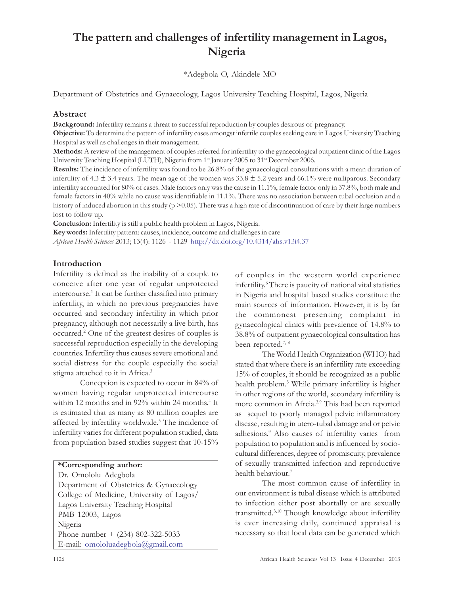# The pattern and challenges of infertility management in Lagos, Nigeria

\*Adegbola O, Akindele MO

Department of Obstetrics and Gynaecology, Lagos University Teaching Hospital, Lagos, Nigeria

### Abstract

Background: Infertility remains a threat to successful reproduction by couples desirous of pregnancy.

Objective: To determine the pattern of infertility cases amongst infertile couples seeking care in Lagos University Teaching Hospital as well as challenges in their management.

Methods: A review of the management of couples referred for infertility to the gynaecological outpatient clinic of the Lagos University Teaching Hospital (LUTH), Nigeria from 1<sup>st</sup> January 2005 to 31<sup>st</sup> December 2006.

Results: The incidence of infertility was found to be 26.8% of the gynaecological consultations with a mean duration of infertility of 4.3  $\pm$  3.4 years. The mean age of the women was 33.8  $\pm$  5.2 years and 66.1% were nulliparous. Secondary infertility accounted for 80% of cases. Male factors only was the cause in 11.1%, female factor only in 37.8%, both male and female factors in 40% while no cause was identifiable in 11.1%. There was no association between tubal occlusion and a history of induced abortion in this study ( $p > 0.05$ ). There was a high rate of discontinuation of care by their large numbers lost to follow up.

Conclusion: Infertility is still a public health problem in Lagos, Nigeria.

Key words: Infertility pattern: causes, incidence, outcome and challenges in care African Health Sciences 2013; 13(4): 1126 - 1129 http://dx.doi.org/10.4314/ahs.v13i4.37

# Introduction

Infertility is defined as the inability of a couple to conceive after one year of regular unprotected intercourse.<sup>1</sup> It can be further classified into primary infertility, in which no previous pregnancies have occurred and secondary infertility in which prior pregnancy, although not necessarily a live birth, has occurred.<sup>2</sup> One of the greatest desires of couples is successful reproduction especially in the developing countries. Infertility thus causes severe emotional and social distress for the couple especially the social stigma attached to it in Africa.<sup>3</sup>

Conception is expected to occur in 84% of women having regular unprotected intercourse within 12 months and in 92% within 24 months.<sup>4</sup> It is estimated that as many as 80 million couples are affected by infertility worldwide.<sup>5</sup> The incidence of infertility varies for different population studied, data from population based studies suggest that 10-15%

## \*Corresponding author:

Dr. Omololu Adegbola Department of Obstetrics & Gynaecology College of Medicine, University of Lagos/ Lagos University Teaching Hospital PMB 12003, Lagos Nigeria Phone number + (234) 802-322-5033 E-mail: omololuadegbola@gmail.com

of couples in the western world experience infertility. <sup>6</sup>There is paucity of national vital statistics in Nigeria and hospital based studies constitute the main sources of information. However, it is by far the commonest presenting complaint in gynaecological clinics with prevalence of 14.8% to 38.8% of outpatient gynaecological consultation has been reported.<sup>7, 8</sup>

The World Health Organization (WHO) had stated that where there is an infertility rate exceeding 15% of couples, it should be recognized as a public health problem.<sup>5</sup> While primary infertility is higher in other regions of the world, secondary infertility is more common in Afrcia.3,9 This had been reported as sequel to poorly managed pelvic inflammatory disease, resulting in utero-tubal damage and or pelvic adhesions. <sup>9</sup> Also causes of infertility varies from population to population and is influenced by sociocultural differences, degree of promiscuity, prevalence of sexually transmitted infection and reproductive health behaviour. 7

The most common cause of infertility in our environment is tubal disease which is attributed to infection either post abortally or are sexually transmitted.3,10 Though knowledge about infertility is ever increasing daily, continued appraisal is necessary so that local data can be generated which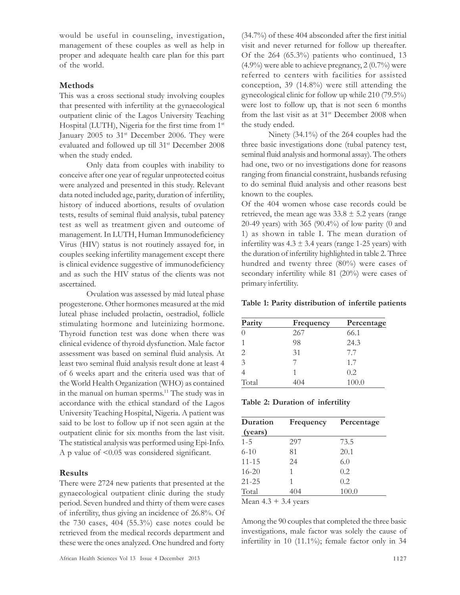would be useful in counseling, investigation, management of these couples as well as help in proper and adequate health care plan for this part of the world.

## Methods

This was a cross sectional study involving couples that presented with infertility at the gynaecological outpatient clinic of the Lagos University Teaching Hospital (LUTH), Nigeria for the first time from 1<sup>st</sup> January 2005 to  $31<sup>st</sup>$  December 2006. They were evaluated and followed up till 31<sup>st</sup> December 2008 when the study ended.

Only data from couples with inability to conceive after one year of regular unprotected coitus were analyzed and presented in this study. Relevant data noted included age, parity, duration of infertility, history of induced abortions, results of ovulation tests, results of seminal fluid analysis, tubal patency test as well as treatment given and outcome of management. In LUTH, Human Immunodeficiency Virus (HIV) status is not routinely assayed for, in couples seeking infertility management except there is clinical evidence suggestive of immunodeficiency and as such the HIV status of the clients was not ascertained.

Ovulation was assessed by mid luteal phase progesterone. Other hormones measured at the mid luteal phase included prolactin, oestradiol, follicle stimulating hormone and luteinizing hormone. Thyroid function test was done when there was clinical evidence of thyroid dysfunction. Male factor assessment was based on seminal fluid analysis. At least two seminal fluid analysis result done at least 4 of 6 weeks apart and the criteria used was that of the World Health Organization (WHO) as contained in the manual on human sperms. <sup>11</sup> The study was in accordance with the ethical standard of the Lagos University Teaching Hospital, Nigeria. A patient was said to be lost to follow up if not seen again at the outpatient clinic for six months from the last visit. The statistical analysis was performed using Epi-Info. A p value of <0.05 was considered significant.

### Results

There were 2724 new patients that presented at the gynaecological outpatient clinic during the study period. Seven hundred and thirty of them were cases of infertility, thus giving an incidence of 26.8%. Of the 730 cases, 404 (55.3%) case notes could be retrieved from the medical records department and these were the ones analyzed. One hundred and forty (34.7%) of these 404 absconded after the first initial visit and never returned for follow up thereafter. Of the 264 (65.3%) patients who continued, 13  $(4.9\%)$  were able to achieve pregnancy,  $2(0.7\%)$  were referred to centers with facilities for assisted conception, 39 (14.8%) were still attending the gynecological clinic for follow up while 210 (79.5%) were lost to follow up, that is not seen 6 months from the last visit as at  $31<sup>st</sup>$  December 2008 when the study ended.

Ninety (34.1%) of the 264 couples had the three basic investigations done (tubal patency test, seminal fluid analysis and hormonal assay). The others had one, two or no investigations done for reasons ranging from financial constraint, husbands refusing to do seminal fluid analysis and other reasons best known to the couples.

Of the 404 women whose case records could be retrieved, the mean age was  $33.8 \pm 5.2$  years (range 20-49 years) with 365 (90.4%) of low parity (0 and 1) as shown in table I. The mean duration of infertility was  $4.3 \pm 3.4$  years (range 1-25 years) with the duration of infertility highlighted in table 2. Three hundred and twenty three (80%) were cases of secondary infertility while 81 (20%) were cases of primary infertility.

Table 1: Parity distribution of infertile patients

| Parity | Frequency | Percentage |
|--------|-----------|------------|
|        | 267       | 66.1       |
|        | 98        | 24.3       |
| 2      | 31        | 7.7        |
| 3      |           | 1.7        |
|        | 1         | 0.2        |
| Total  | 404       | 100.0      |

| Duration  | Frequency | Percentage |
|-----------|-----------|------------|
| (years)   |           |            |
| $1 - 5$   | 297       | 73.5       |
| $6 - 10$  | 81        | 20.1       |
| $11 - 15$ | 24        | 6.0        |
| $16 - 20$ |           | 0.2        |
| $21 - 25$ | 1         | 0.2        |
| Total     | 404       | 100.0      |

Mean  $4.3 + 3.4$  years

Among the 90 couples that completed the three basic investigations, male factor was solely the cause of infertility in 10 (11.1%); female factor only in 34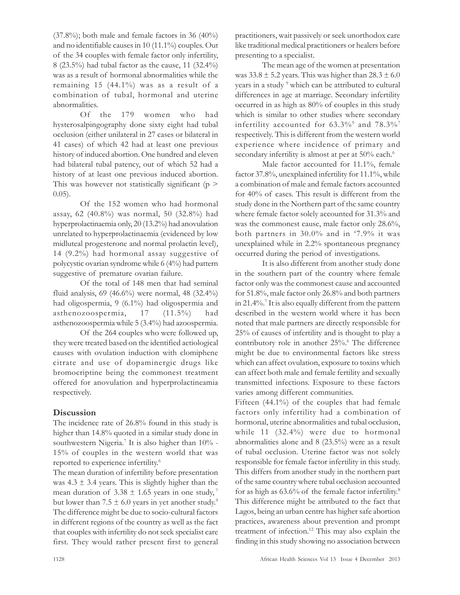$(37.8\%)$ ; both male and female factors in 36  $(40\%)$ and no identifiable causes in 10 (11.1%) couples. Out of the 34 couples with female factor only infertility, 8 (23.5%) had tubal factor as the cause, 11 (32.4%) was as a result of hormonal abnormalities while the remaining 15 (44.1%) was as a result of a combination of tubal, hormonal and uterine abnormalities.

Of the 179 women who had hysterosalpingography done sixty eight had tubal occlusion (either unilateral in 27 cases or bilateral in 41 cases) of which 42 had at least one previous history of induced abortion. One hundred and eleven had bilateral tubal patency, out of which 52 had a history of at least one previous induced abortion. This was however not statistically significant ( $p$  > 0.05).

Of the 152 women who had hormonal assay, 62 (40.8%) was normal, 50 (32.8%) had hyperprolactinaemia only, 20 (13.2%) had anovulation unrelated to hyperprolactinaemia (evidenced by low midluteal progesterone and normal prolactin level), 14 (9.2%) had hormonal assay suggestive of polycystic ovarian syndrome while 6 (4%) had pattern suggestive of premature ovarian failure.

Of the total of 148 men that had seminal fluid analysis, 69 (46.6%) were normal, 48 (32.4%) had oligospermia, 9 (6.1%) had oligospermia and asthenozoospermia, 17 (11.5%) had asthenozoospermia while 5 (3.4%) had azoospermia.

Of the 264 couples who were followed up, they were treated based on the identified aetiological causes with ovulation induction with clomiphene citrate and use of dopaminergic drugs like bromocriptine being the commonest treatment offered for anovulation and hyperprolactineamia respectively.

# **Discussion**

The incidence rate of 26.8% found in this study is higher than 14.8% quoted in a similar study done in southwestern Nigeria.<sup>7</sup> It is also higher than 10% -15% of couples in the western world that was reported to experience infertility. 6

The mean duration of infertility before presentation was  $4.3 \pm 3.4$  years. This is slightly higher than the mean duration of  $3.38 \pm 1.65$  years in one study,<sup>7</sup> but lower than  $7.5 \pm 6.0$  years in yet another study.<sup>9</sup> The difference might be due to socio-cultural factors in different regions of the country as well as the fact that couples with infertility do not seek specialist care first. They would rather present first to general practitioners, wait passively or seek unorthodox care like traditional medical practitioners or healers before presenting to a specialist.

The mean age of the women at presentation was  $33.8 \pm 5.2$  years. This was higher than  $28.3 \pm 6.0$ years in a study <sup>9</sup> which can be attributed to cultural differences in age at marriage. Secondary infertility occurred in as high as 80% of couples in this study which is similar to other studies where secondary infertility accounted for  $63.3\%$  and  $78.3\%$ respectively. This is different from the western world experience where incidence of primary and secondary infertility is almost at per at 50% each.<sup>6</sup>

Male factor accounted for 11.1%, female factor 37.8%, unexplained infertility for 11.1%, while a combination of male and female factors accounted for 40% of cases. This result is different from the study done in the Northern part of the same country where female factor solely accounted for 31.3% and was the commonest cause, male factor only 28.6%, both partners in 30.0% and in '7.9% it was unexplained while in 2.2% spontaneous pregnancy occurred during the period of investigations.

It is also different from another study done in the southern part of the country where female factor only was the commonest cause and accounted for 51.8%, male factor only 26.8% and both partners in 21.4%.<sup>7</sup> It is also equally different from the pattern described in the western world where it has been noted that male partners are directly responsible for 25% of causes of infertility and is thought to play a contributory role in another 25%.<sup>6</sup> The difference might be due to environmental factors like stress which can affect ovulation, exposure to toxins which can affect both male and female fertility and sexually transmitted infections. Exposure to these factors varies among different communities.

Fifteen (44.1%) of the couples that had female factors only infertility had a combination of hormonal, uterine abnormalities and tubal occlusion, while 11 (32.4%) were due to hormonal abnormalities alone and 8 (23.5%) were as a result of tubal occlusion. Uterine factor was not solely responsible for female factor infertility in this study. This differs from another study in the northern part of the same country where tubal occlusion accounted for as high as 63.6% of the female factor infertility. 8 This difference might be attributed to the fact that Lagos, being an urban centre has higher safe abortion practices, awareness about prevention and prompt treatment of infection.<sup>12</sup> This may also explain the finding in this study showing no association between